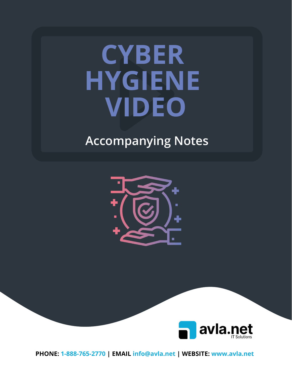# **CYBER HYGIENE VIDEO**

## **Accompanying Notes**





**PHONE: 1-888-765-2770 | EMAIL info@avla.net | WEBSITE: www.avla.net**